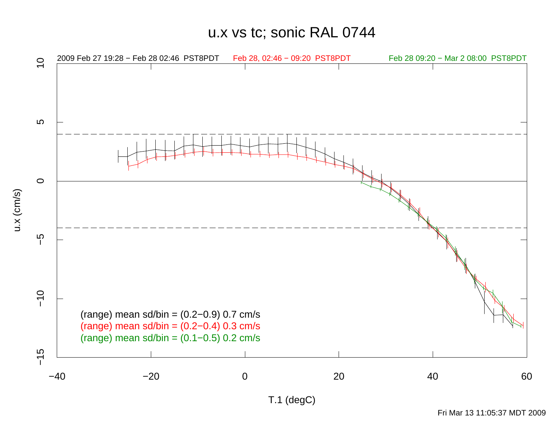u.x vs tc; sonic RAL 0744

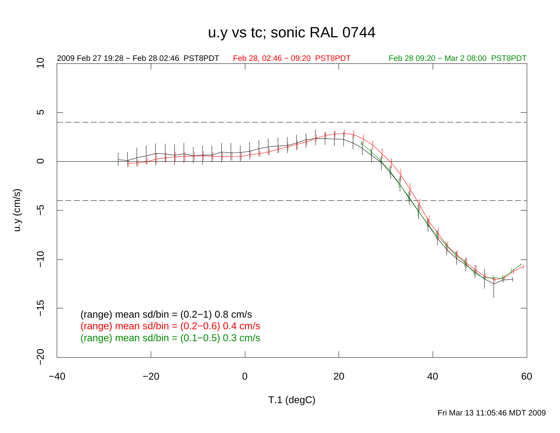u.y vs tc; sonic RAL 0744